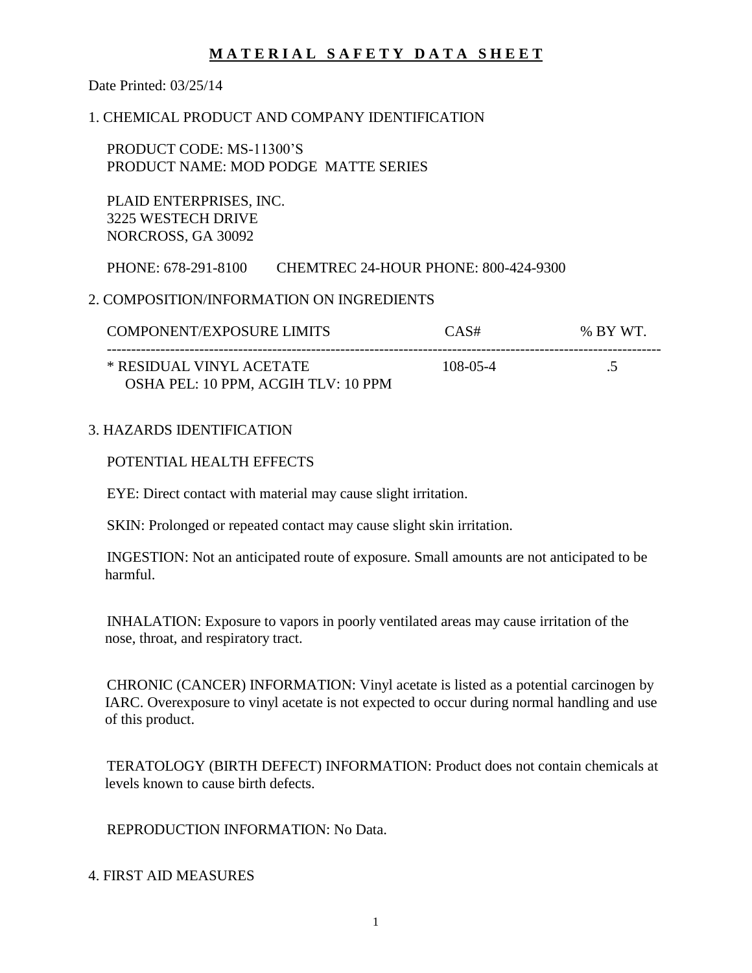Date Printed: 03/25/14

### 1. CHEMICAL PRODUCT AND COMPANY IDENTIFICATION

 PRODUCT CODE: MS-11300'S PRODUCT NAME: MOD PODGE MATTE SERIES

 PLAID ENTERPRISES, INC. 3225 WESTECH DRIVE NORCROSS, GA 30092

PHONE: 678-291-8100 CHEMTREC 24-HOUR PHONE: 800-424-9300

### 2. COMPOSITION/INFORMATION ON INGREDIENTS

| <b>COMPONENT/EXPOSURE LIMITS</b>                                | CAS#     | % BY WT. |
|-----------------------------------------------------------------|----------|----------|
| * RESIDUAL VINYL ACETATE<br>OSHA PEL: 10 PPM, ACGIH TLV: 10 PPM | 108-05-4 |          |

### 3. HAZARDS IDENTIFICATION

#### POTENTIAL HEALTH EFFECTS

EYE: Direct contact with material may cause slight irritation.

SKIN: Prolonged or repeated contact may cause slight skin irritation.

 INGESTION: Not an anticipated route of exposure. Small amounts are not anticipated to be harmful.

 INHALATION: Exposure to vapors in poorly ventilated areas may cause irritation of the nose, throat, and respiratory tract.

 CHRONIC (CANCER) INFORMATION: Vinyl acetate is listed as a potential carcinogen by IARC. Overexposure to vinyl acetate is not expected to occur during normal handling and use of this product.

 TERATOLOGY (BIRTH DEFECT) INFORMATION: Product does not contain chemicals at levels known to cause birth defects.

REPRODUCTION INFORMATION: No Data.

4. FIRST AID MEASURES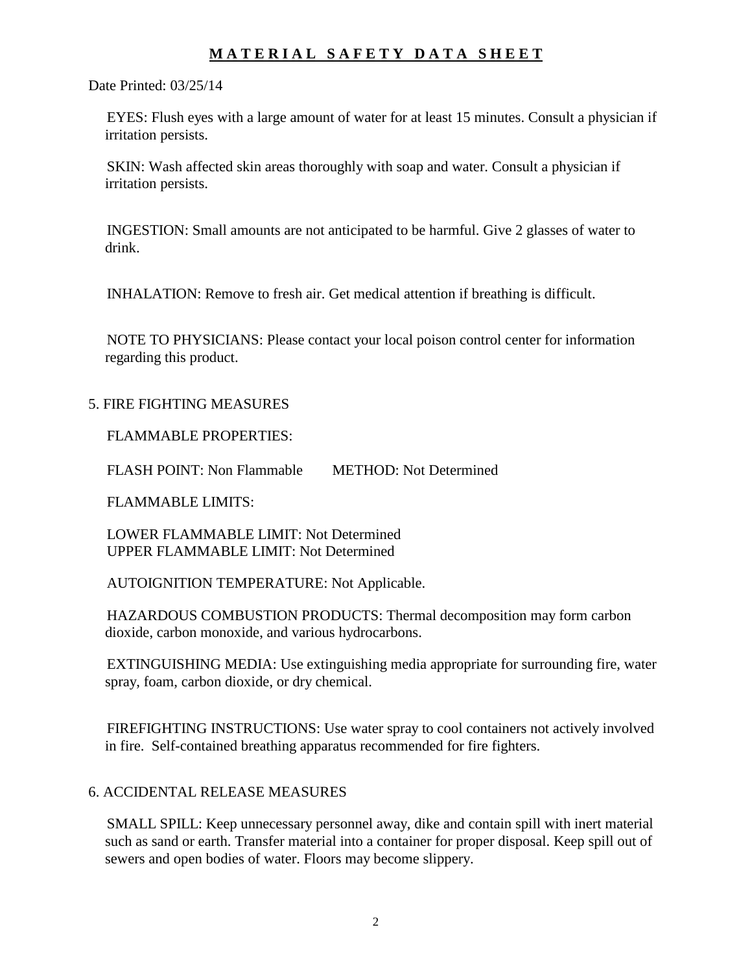Date Printed: 03/25/14

 EYES: Flush eyes with a large amount of water for at least 15 minutes. Consult a physician if irritation persists.

 SKIN: Wash affected skin areas thoroughly with soap and water. Consult a physician if irritation persists.

 INGESTION: Small amounts are not anticipated to be harmful. Give 2 glasses of water to drink.

INHALATION: Remove to fresh air. Get medical attention if breathing is difficult.

 NOTE TO PHYSICIANS: Please contact your local poison control center for information regarding this product.

### 5. FIRE FIGHTING MEASURES

FLAMMABLE PROPERTIES:

FLASH POINT: Non Flammable METHOD: Not Determined

FLAMMABLE LIMITS:

 LOWER FLAMMABLE LIMIT: Not Determined UPPER FLAMMABLE LIMIT: Not Determined

AUTOIGNITION TEMPERATURE: Not Applicable.

 HAZARDOUS COMBUSTION PRODUCTS: Thermal decomposition may form carbon dioxide, carbon monoxide, and various hydrocarbons.

 EXTINGUISHING MEDIA: Use extinguishing media appropriate for surrounding fire, water spray, foam, carbon dioxide, or dry chemical.

 FIREFIGHTING INSTRUCTIONS: Use water spray to cool containers not actively involved in fire. Self-contained breathing apparatus recommended for fire fighters.

### 6. ACCIDENTAL RELEASE MEASURES

 SMALL SPILL: Keep unnecessary personnel away, dike and contain spill with inert material such as sand or earth. Transfer material into a container for proper disposal. Keep spill out of sewers and open bodies of water. Floors may become slippery.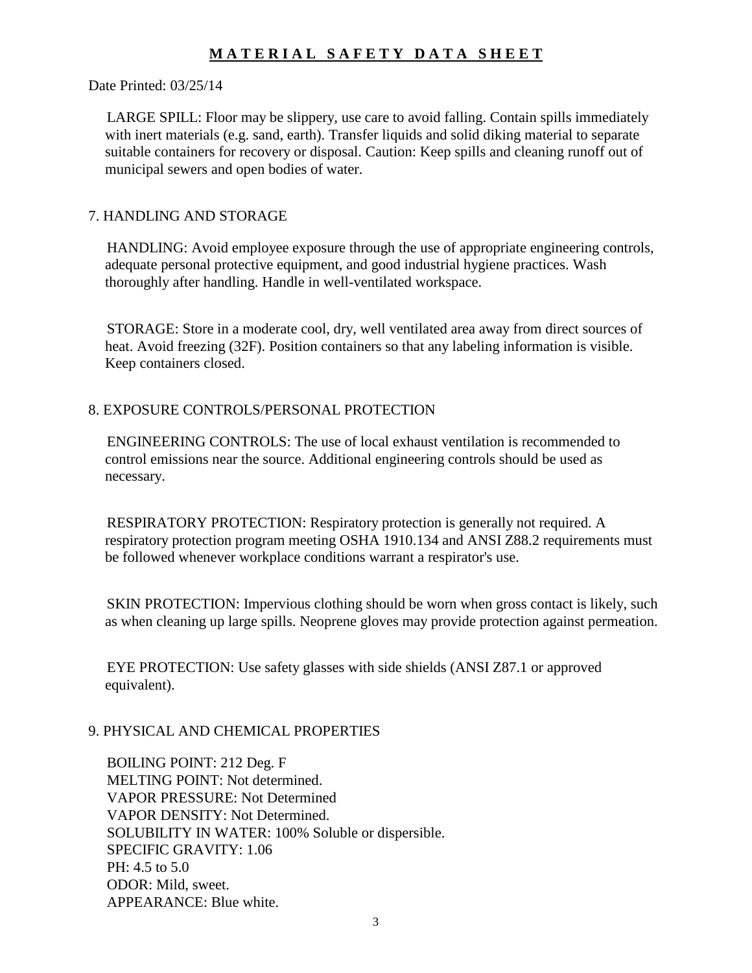#### Date Printed: 03/25/14

 LARGE SPILL: Floor may be slippery, use care to avoid falling. Contain spills immediately with inert materials (e.g. sand, earth). Transfer liquids and solid diking material to separate suitable containers for recovery or disposal. Caution: Keep spills and cleaning runoff out of municipal sewers and open bodies of water.

### 7. HANDLING AND STORAGE

 HANDLING: Avoid employee exposure through the use of appropriate engineering controls, adequate personal protective equipment, and good industrial hygiene practices. Wash thoroughly after handling. Handle in well-ventilated workspace.

 STORAGE: Store in a moderate cool, dry, well ventilated area away from direct sources of heat. Avoid freezing (32F). Position containers so that any labeling information is visible. Keep containers closed.

### 8. EXPOSURE CONTROLS/PERSONAL PROTECTION

 ENGINEERING CONTROLS: The use of local exhaust ventilation is recommended to control emissions near the source. Additional engineering controls should be used as necessary.

 RESPIRATORY PROTECTION: Respiratory protection is generally not required. A respiratory protection program meeting OSHA 1910.134 and ANSI Z88.2 requirements must be followed whenever workplace conditions warrant a respirator's use.

 SKIN PROTECTION: Impervious clothing should be worn when gross contact is likely, such as when cleaning up large spills. Neoprene gloves may provide protection against permeation.

 EYE PROTECTION: Use safety glasses with side shields (ANSI Z87.1 or approved equivalent).

### 9. PHYSICAL AND CHEMICAL PROPERTIES

 BOILING POINT: 212 Deg. F MELTING POINT: Not determined. VAPOR PRESSURE: Not Determined VAPOR DENSITY: Not Determined. SOLUBILITY IN WATER: 100% Soluble or dispersible. SPECIFIC GRAVITY: 1.06 PH: 4.5 to 5.0 ODOR: Mild, sweet. APPEARANCE: Blue white.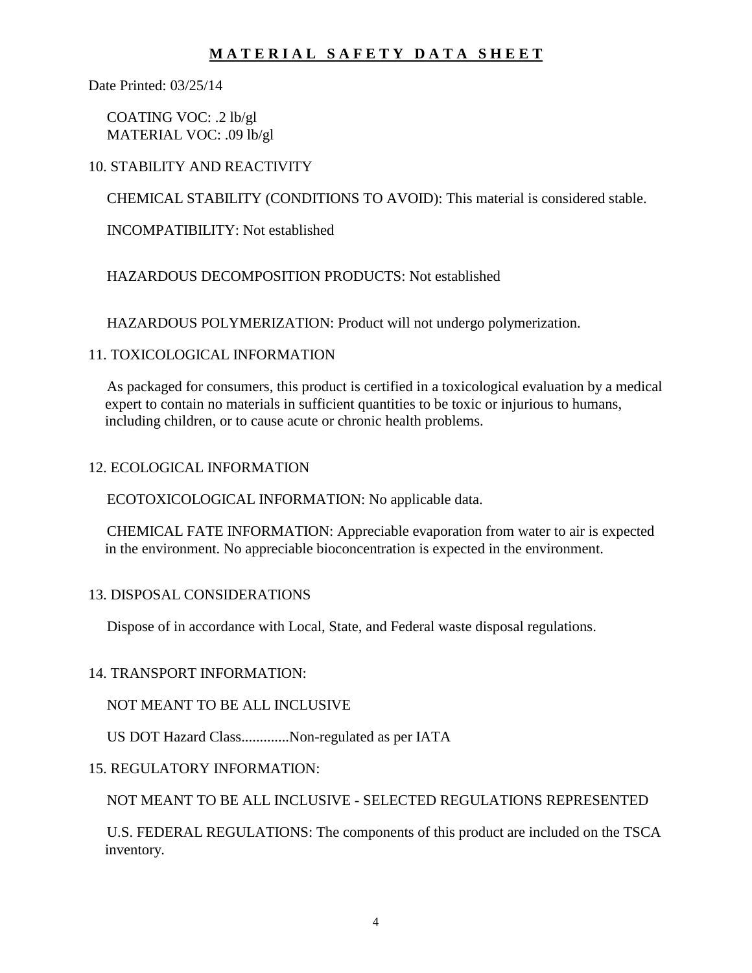Date Printed: 03/25/14

 COATING VOC: .2 lb/gl MATERIAL VOC: .09 lb/gl

### 10. STABILITY AND REACTIVITY

CHEMICAL STABILITY (CONDITIONS TO AVOID): This material is considered stable.

INCOMPATIBILITY: Not established

### HAZARDOUS DECOMPOSITION PRODUCTS: Not established

HAZARDOUS POLYMERIZATION: Product will not undergo polymerization.

### 11. TOXICOLOGICAL INFORMATION

 As packaged for consumers, this product is certified in a toxicological evaluation by a medical expert to contain no materials in sufficient quantities to be toxic or injurious to humans, including children, or to cause acute or chronic health problems.

#### 12. ECOLOGICAL INFORMATION

ECOTOXICOLOGICAL INFORMATION: No applicable data.

 CHEMICAL FATE INFORMATION: Appreciable evaporation from water to air is expected in the environment. No appreciable bioconcentration is expected in the environment.

### 13. DISPOSAL CONSIDERATIONS

Dispose of in accordance with Local, State, and Federal waste disposal regulations.

### 14. TRANSPORT INFORMATION:

NOT MEANT TO BE ALL INCLUSIVE

US DOT Hazard Class.............Non-regulated as per IATA

### 15. REGULATORY INFORMATION:

NOT MEANT TO BE ALL INCLUSIVE - SELECTED REGULATIONS REPRESENTED

 U.S. FEDERAL REGULATIONS: The components of this product are included on the TSCA inventory.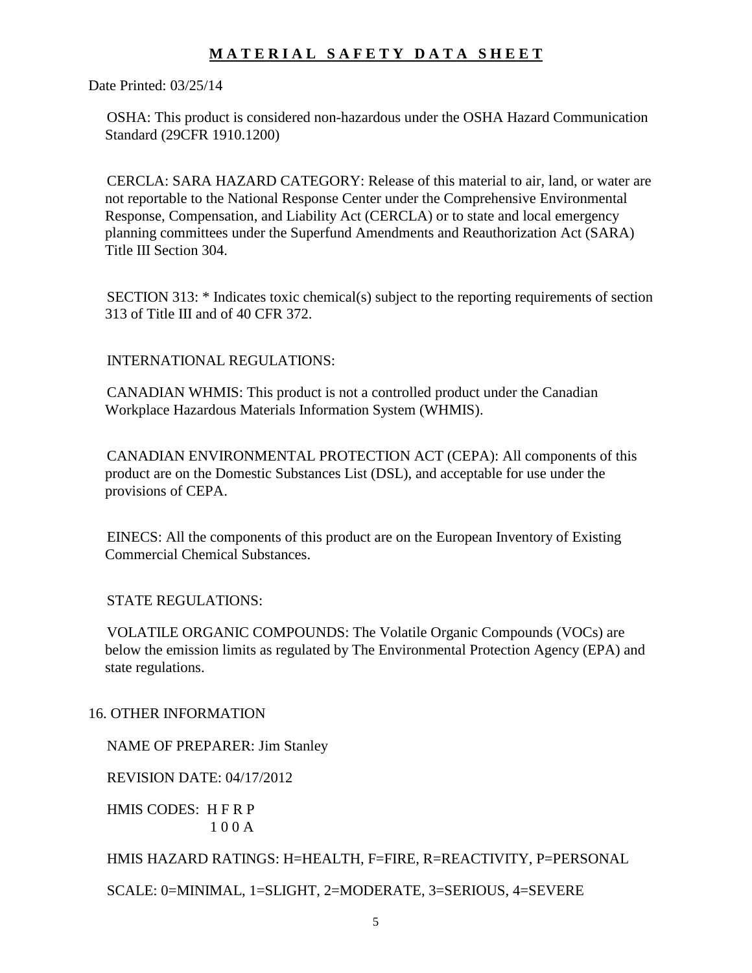Date Printed: 03/25/14

 OSHA: This product is considered non-hazardous under the OSHA Hazard Communication Standard (29CFR 1910.1200)

 CERCLA: SARA HAZARD CATEGORY: Release of this material to air, land, or water are not reportable to the National Response Center under the Comprehensive Environmental Response, Compensation, and Liability Act (CERCLA) or to state and local emergency planning committees under the Superfund Amendments and Reauthorization Act (SARA) Title III Section 304.

 SECTION 313: \* Indicates toxic chemical(s) subject to the reporting requirements of section 313 of Title III and of 40 CFR 372.

INTERNATIONAL REGULATIONS:

 CANADIAN WHMIS: This product is not a controlled product under the Canadian Workplace Hazardous Materials Information System (WHMIS).

 CANADIAN ENVIRONMENTAL PROTECTION ACT (CEPA): All components of this product are on the Domestic Substances List (DSL), and acceptable for use under the provisions of CEPA.

 EINECS: All the components of this product are on the European Inventory of Existing Commercial Chemical Substances.

STATE REGULATIONS:

 VOLATILE ORGANIC COMPOUNDS: The Volatile Organic Compounds (VOCs) are below the emission limits as regulated by The Environmental Protection Agency (EPA) and state regulations.

16. OTHER INFORMATION

NAME OF PREPARER: Jim Stanley

REVISION DATE: 04/17/2012

 HMIS CODES: H F R P 1 0 0 A

HMIS HAZARD RATINGS: H=HEALTH, F=FIRE, R=REACTIVITY, P=PERSONAL

SCALE: 0=MINIMAL, 1=SLIGHT, 2=MODERATE, 3=SERIOUS, 4=SEVERE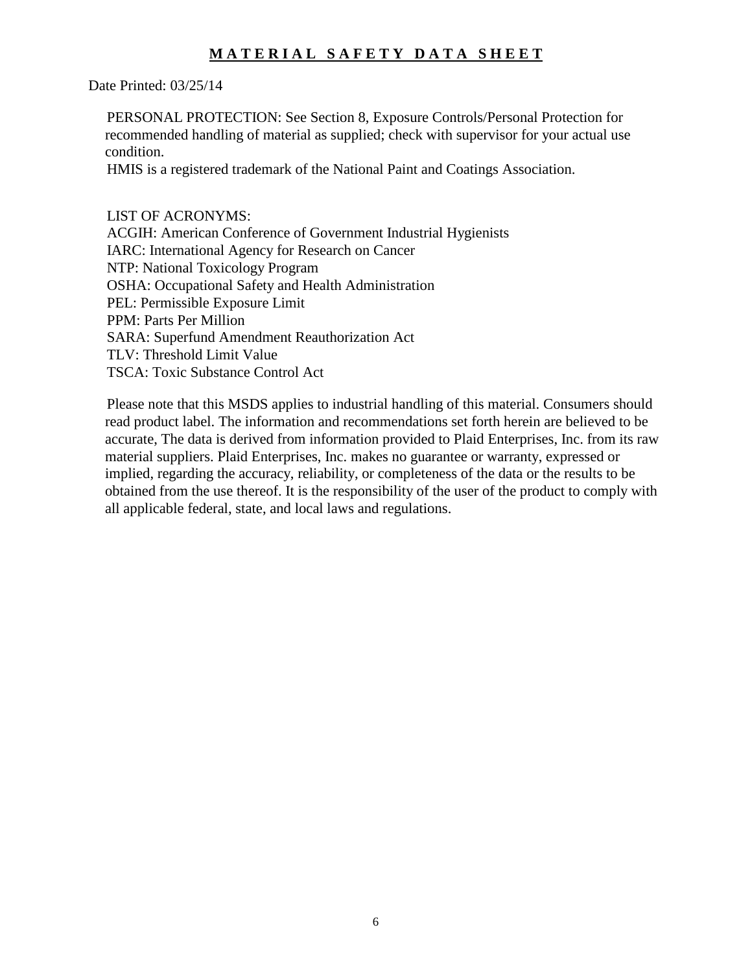Date Printed: 03/25/14

 PERSONAL PROTECTION: See Section 8, Exposure Controls/Personal Protection for recommended handling of material as supplied; check with supervisor for your actual use condition.

HMIS is a registered trademark of the National Paint and Coatings Association.

LIST OF ACRONYMS:

 ACGIH: American Conference of Government Industrial Hygienists IARC: International Agency for Research on Cancer NTP: National Toxicology Program OSHA: Occupational Safety and Health Administration PEL: Permissible Exposure Limit PPM: Parts Per Million SARA: Superfund Amendment Reauthorization Act TLV: Threshold Limit Value TSCA: Toxic Substance Control Act

 Please note that this MSDS applies to industrial handling of this material. Consumers should read product label. The information and recommendations set forth herein are believed to be accurate, The data is derived from information provided to Plaid Enterprises, Inc. from its raw material suppliers. Plaid Enterprises, Inc. makes no guarantee or warranty, expressed or implied, regarding the accuracy, reliability, or completeness of the data or the results to be obtained from the use thereof. It is the responsibility of the user of the product to comply with all applicable federal, state, and local laws and regulations.